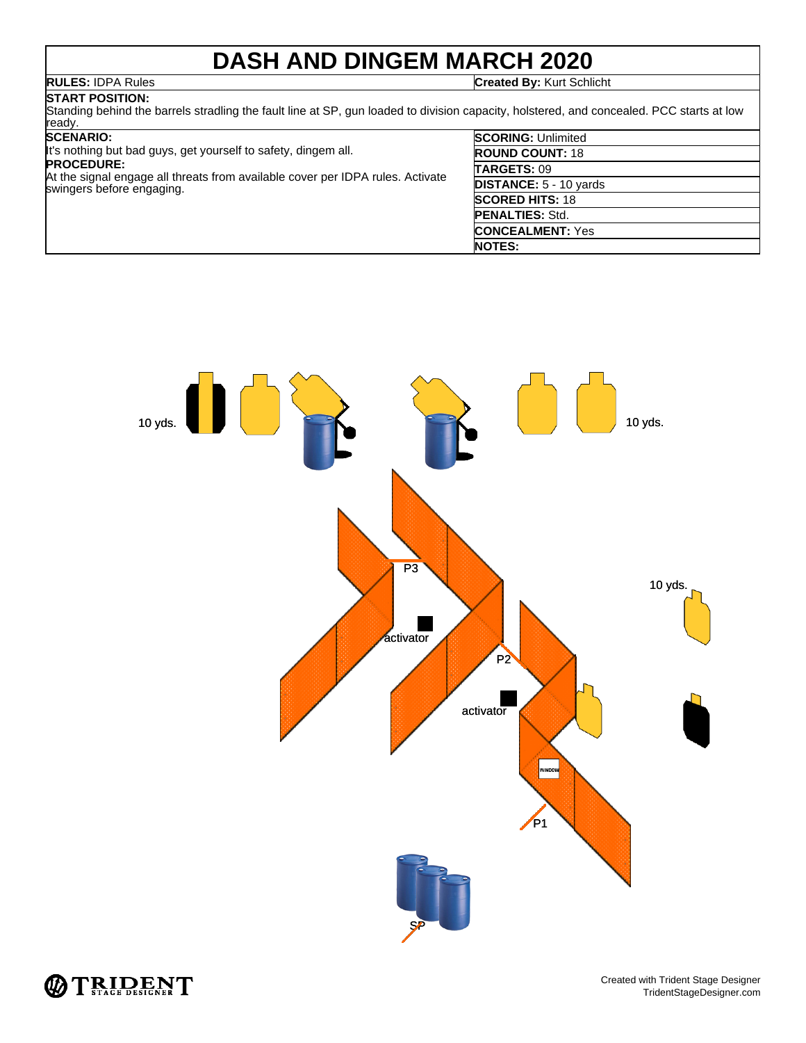# **DASH AND DINGEM MARCH 2020**

**RULES:** IDPA Rules **Created By:** Kurt Schlicht

**START POSITION:** Standing behind the barrels stradling the fault line at SP, gun loaded to division capacity, holstered, and concealed. PCC starts at low ready. **SCENARIO: SCORING:** Unlimited

| <b>CENARIO:</b> |  |  |
|-----------------|--|--|
|                 |  |  |

| It's nothing but bad guys, get yourself to safety, dingem all.                                              | <b>ROUND COUNT: 18</b>        |
|-------------------------------------------------------------------------------------------------------------|-------------------------------|
| <b>PROCEDURE:</b>                                                                                           | TARGETS: 09                   |
| At the signal engage all threats from available cover per IDPA rules. Activate<br>swingers before engaging. | <b>DISTANCE: 5 - 10 yards</b> |
|                                                                                                             | <b>SCORED HITS: 18</b>        |
|                                                                                                             | <b>PENALTIES: Std.</b>        |
|                                                                                                             | <b>CONCEALMENT: Yes</b>       |
|                                                                                                             | <b>NOTES:</b>                 |



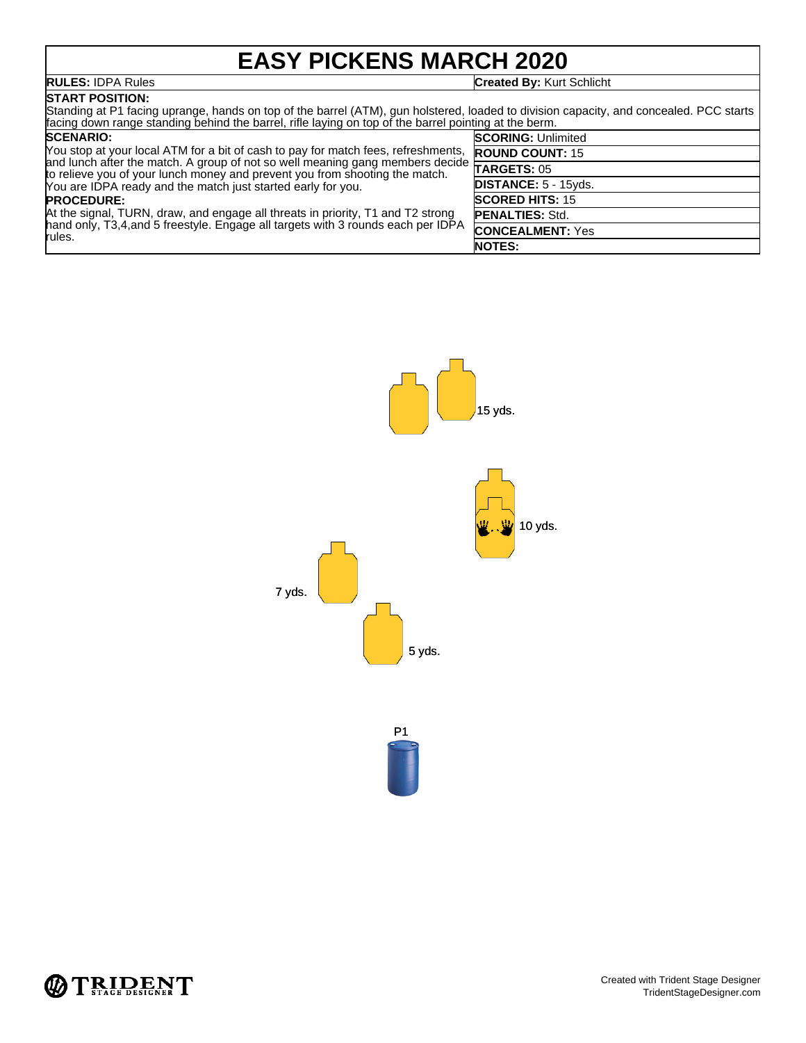# **EASY PICKENS MARCH 2020**

### **RULES:** IDPA Rules **Created By:** Kurt Schlicht

**START POSITION:** Standing at P1 facing uprange, hands on top of the barrel (ATM), gun holstered, loaded to division capacity, and concealed. PCC starts facing down range standing behind the barrel, rifle laying on top of the barrel pointing at the berm. **SCORING:** Unlimited

## **SCENARIO:**

You stop at your local ATM for a bit of cash to pay for match fees, refreshments, and lunch after the match. A group of not so well meaning gang members decide to relieve you of your lunch money and prevent you from shooting the match. You are IDPA ready and the match just started early for you. **PROCEDURE:** At the signal, TURN, draw, and engage all threats in priority, T1 and T2 strong hand only, T3,4,and 5 freestyle. Engage all targets with 3 rounds each per IDPA rules. **ROUND COUNT:** 15 **TARGETS:** 05 **DISTANCE:** 5 - 15yds. **SCORED HITS:** 15 **PENALTIES:** Std. **CONCEALMENT:** Yes **NOTES:**



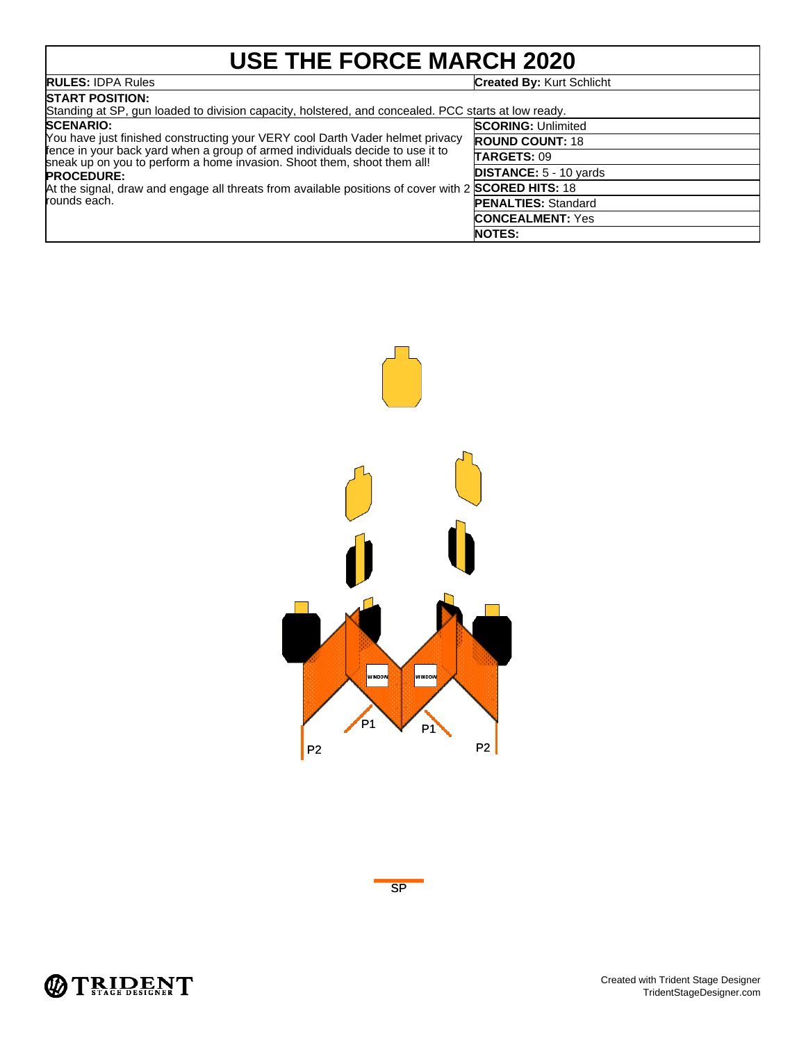# **USE THE FORCE MARCH 2020**

| <b>RULES: IDPA Rules</b>                                                                                                                                 | <b>Created By: Kurt Schlicht</b> |  |
|----------------------------------------------------------------------------------------------------------------------------------------------------------|----------------------------------|--|
| <b>START POSITION:</b><br>Standing at SP, gun loaded to division capacity, holstered, and concealed. PCC starts at low ready.                            |                                  |  |
| <b>SCENARIO:</b>                                                                                                                                         | <b>SCORING: Unlimited</b>        |  |
| You have just finished constructing your VERY cool Darth Vader helmet privacy                                                                            | <b>ROUND COUNT: 18</b>           |  |
| fence in your back yard when a group of armed individuals decide to use it to<br>sheak up on you to perform a home invasion. Shoot them, shoot them all! | TARGETS: 09                      |  |
| <b>PROCEDURE:</b>                                                                                                                                        | <b>DISTANCE: 5 - 10 yards</b>    |  |
| At the signal, draw and engage all threats from available positions of cover with 2 SCORED HITS: 18                                                      |                                  |  |
| rounds each.                                                                                                                                             | <b>PENALTIES: Standard</b>       |  |
|                                                                                                                                                          | <b>CONCEALMENT: Yes</b>          |  |
|                                                                                                                                                          | <b>NOTES:</b>                    |  |





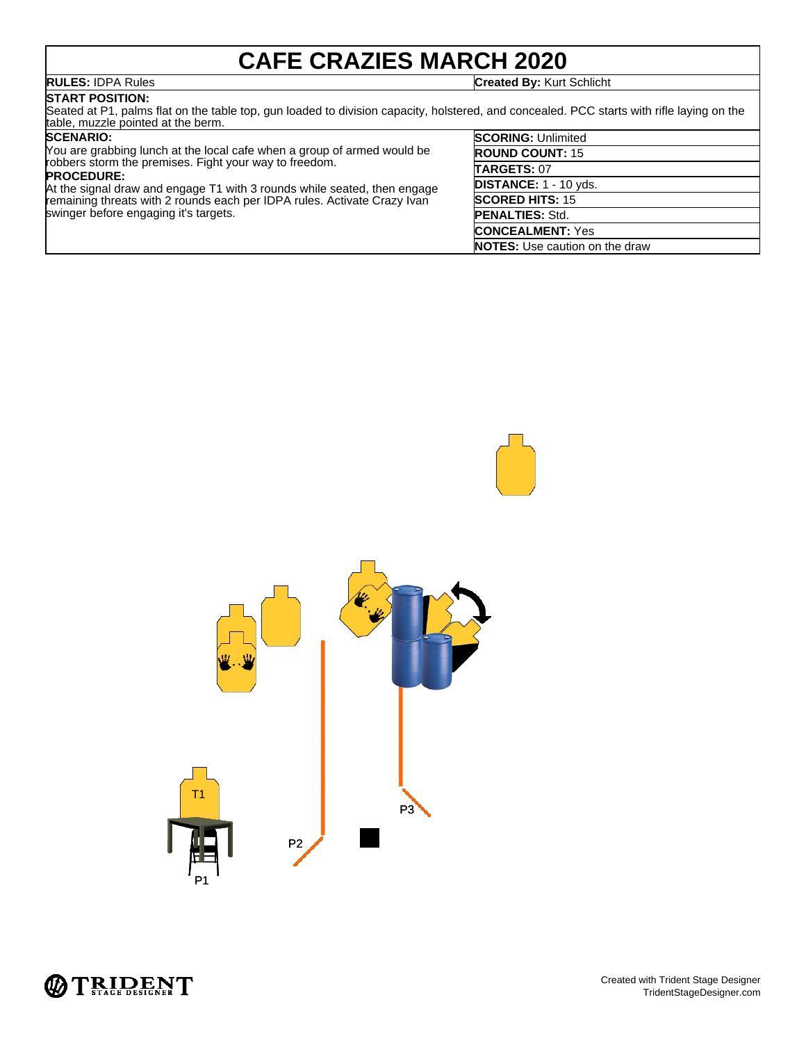## **CAFE CRAZIES MARCH 2020**

**RULES:** IDPA Rules **Created By:** Kurt Schlicht

## **START POSITION:**

swinger before engaging it's targets.

Seated at P1, palms flat on the table top, gun loaded to division capacity, holstered, and concealed. PCC starts with rifle laying on the table, muzzle pointed at the berm.

### **SCENARIO:**

You are grabbing lunch at the local cafe when a group of armed would be robbers storm the premises. Fight your way to freedom. **PROCEDURE:** At the signal draw and engage T1 with 3 rounds while seated, then engage remaining threats with 2 rounds each per IDPA rules. Activate Crazy Ivan

| <b>SCORING: Unlimited</b>             |
|---------------------------------------|
| <b>ROUND COUNT: 15</b>                |
| TARGETS: 07                           |
| DISTANCE: 1 - 10 yds.                 |
| <b>SCORED HITS: 15</b>                |
| <b>PENALTIES: Std.</b>                |
| <b>CONCEALMENT: Yes</b>               |
| <b>NOTES:</b> Use caution on the draw |
|                                       |



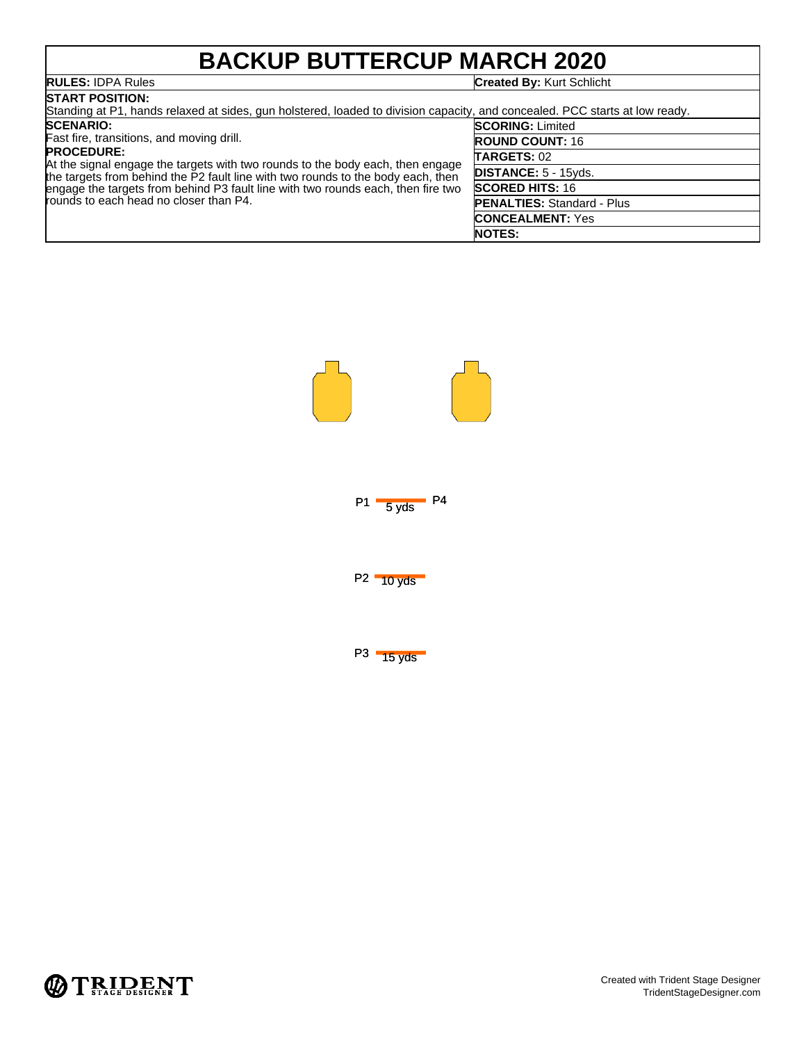# **BACKUP BUTTERCUP MARCH 2020**

## **RULES:** IDPA Rules **Created By:** Kurt Schlicht

| <b>ISTART POSITION:</b>                                                                                                                                                                                                                                                                                               |                                   |  |  |  |
|-----------------------------------------------------------------------------------------------------------------------------------------------------------------------------------------------------------------------------------------------------------------------------------------------------------------------|-----------------------------------|--|--|--|
| Standing at P1, hands relaxed at sides, gun holstered, loaded to division capacity, and concealed. PCC starts at low ready.                                                                                                                                                                                           |                                   |  |  |  |
| <b>SCENARIO:</b>                                                                                                                                                                                                                                                                                                      | <b>SCORING: Limited</b>           |  |  |  |
| Fast fire, transitions, and moving drill.                                                                                                                                                                                                                                                                             | <b>ROUND COUNT: 16</b>            |  |  |  |
| <b>PROCEDURE:</b><br>At the signal engage the targets with two rounds to the body each, then engage<br>the targets from behind the P2 fault line with two rounds to the body each, then<br>engage the targets from behind P3 fault line with two rounds each, then fire two<br>rounds to each head no closer than P4. | <b>TARGETS: 02</b>                |  |  |  |
|                                                                                                                                                                                                                                                                                                                       | DISTANCE: 5 - 15yds.              |  |  |  |
|                                                                                                                                                                                                                                                                                                                       | <b>SCORED HITS: 16</b>            |  |  |  |
|                                                                                                                                                                                                                                                                                                                       | <b>PENALTIES: Standard - Plus</b> |  |  |  |
|                                                                                                                                                                                                                                                                                                                       | <b>CONCEALMENT: Yes</b>           |  |  |  |
|                                                                                                                                                                                                                                                                                                                       | <b>NOTES:</b>                     |  |  |  |



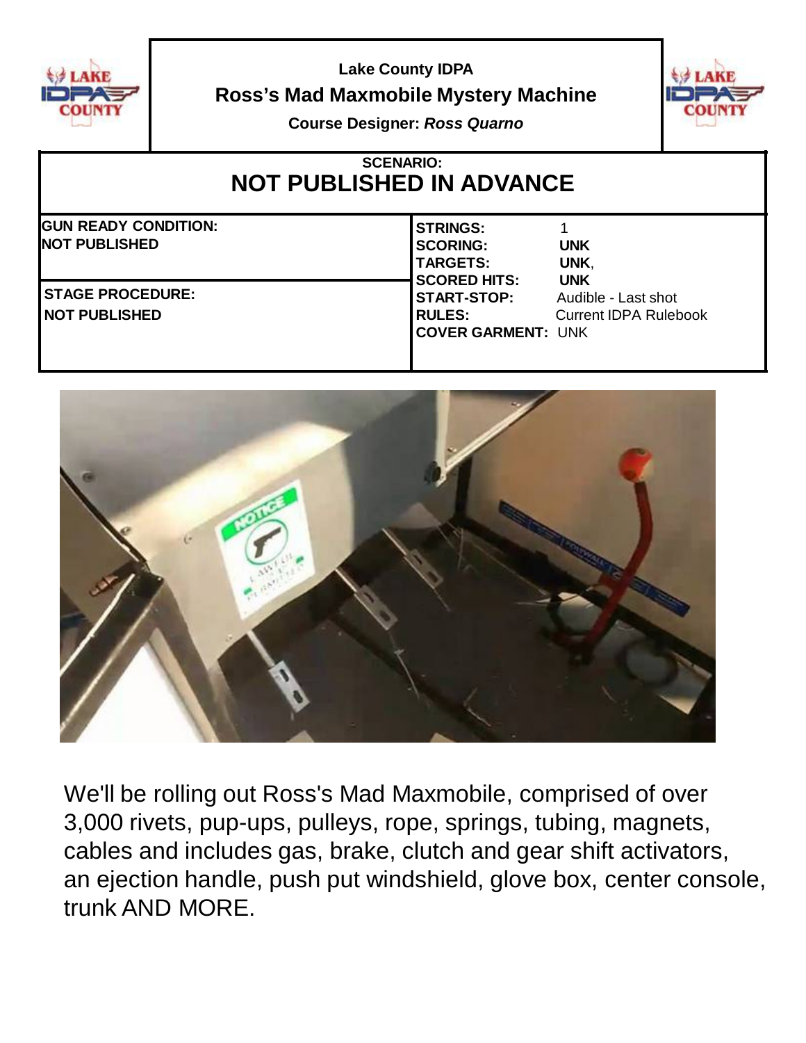

**Lake County IDPA Ross's Mad Maxmobile Mystery Machine**



**Course Designer:** *Ross Quarno*

## **SCENARIO: NOT PUBLISHED IN ADVANCE GUN READY CONDITION: NOT PUBLISHED STRINGS:** 1 **SCORING: UNK TARGETS: UNK**, **SCORED HITS: UNK START-STOP:** Audible - Last shot **RULES:** Current IDPA Rulebook **COVER GARMENT:** UNK **STAGE PROCEDURE: NOT PUBLISHED**



We'll be rolling out Ross's Mad Maxmobile, comprised of over 3,000 rivets, pup-ups, pulleys, rope, springs, tubing, magnets, cables and includes gas, brake, clutch and gear shift activators, an ejection handle, push put windshield, glove box, center console, trunk AND MORE.